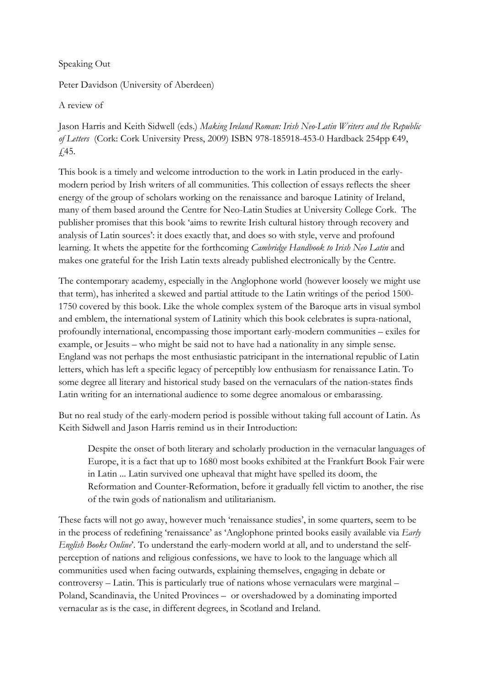Speaking Out

Peter Davidson (University of Aberdeen)

A review of

Jason Harris and Keith Sidwell (eds.) Making Ireland Roman: Irish Neo-Latin Writers and the Republic of Letters (Cork: Cork University Press, 2009) ISBN 978-185918-453-0 Hardback 254pp €49, £45.

This book is a timely and welcome introduction to the work in Latin produced in the earlymodern period by Irish writers of all communities. This collection of essays reflects the sheer energy of the group of scholars working on the renaissance and baroque Latinity of Ireland, many of them based around the Centre for Neo-Latin Studies at University College Cork. The publisher promises that this book 'aims to rewrite Irish cultural history through recovery and analysis of Latin sources': it does exactly that, and does so with style, verve and profound learning. It whets the appetite for the forthcoming Cambridge Handbook to Irish Neo Latin and makes one grateful for the Irish Latin texts already published electronically by the Centre.

The contemporary academy, especially in the Anglophone world (however loosely we might use that term), has inherited a skewed and partial attitude to the Latin writings of the period 1500- 1750 covered by this book. Like the whole complex system of the Baroque arts in visual symbol and emblem, the international system of Latinity which this book celebrates is supra-national, profoundly international, encompassing those important early-modern communities – exiles for example, or Jesuits – who might be said not to have had a nationality in any simple sense. England was not perhaps the most enthusiastic patricipant in the international republic of Latin letters, which has left a specific legacy of perceptibly low enthusiasm for renaissance Latin. To some degree all literary and historical study based on the vernaculars of the nation-states finds Latin writing for an international audience to some degree anomalous or embarassing.

But no real study of the early-modern period is possible without taking full account of Latin. As Keith Sidwell and Jason Harris remind us in their Introduction:

Despite the onset of both literary and scholarly production in the vernacular languages of Europe, it is a fact that up to 1680 most books exhibited at the Frankfurt Book Fair were in Latin ... Latin survived one upheaval that might have spelled its doom, the Reformation and Counter-Reformation, before it gradually fell victim to another, the rise of the twin gods of nationalism and utilitarianism.

These facts will not go away, however much 'renaissance studies', in some quarters, seem to be in the process of redefining 'renaissance' as 'Anglophone printed books easily available via Early English Books Online'. To understand the early-modern world at all, and to understand the selfperception of nations and religious confessions, we have to look to the language which all communities used when facing outwards, explaining themselves, engaging in debate or controversy – Latin. This is particularly true of nations whose vernaculars were marginal – Poland, Scandinavia, the United Provinces – or overshadowed by a dominating imported vernacular as is the case, in different degrees, in Scotland and Ireland.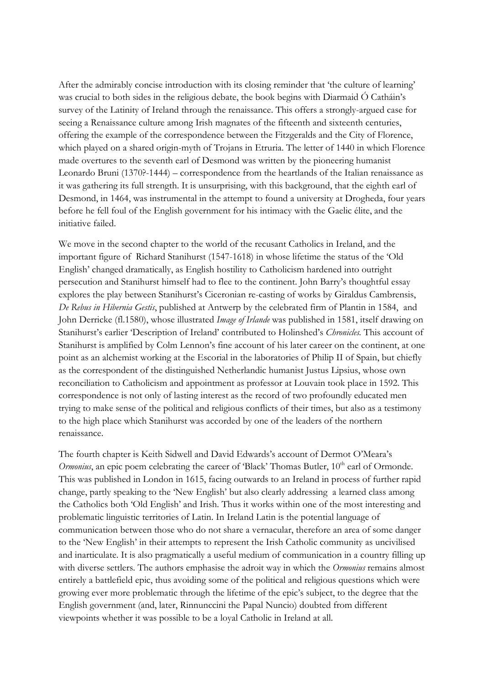After the admirably concise introduction with its closing reminder that 'the culture of learning' was crucial to both sides in the religious debate, the book begins with Diarmaid Ó Catháin's survey of the Latinity of Ireland through the renaissance. This offers a strongly-argued case for seeing a Renaissance culture among Irish magnates of the fifteenth and sixteenth centuries, offering the example of the correspondence between the Fitzgeralds and the City of Florence, which played on a shared origin-myth of Trojans in Etruria. The letter of 1440 in which Florence made overtures to the seventh earl of Desmond was written by the pioneering humanist Leonardo Bruni (1370?-1444) – correspondence from the heartlands of the Italian renaissance as it was gathering its full strength. It is unsurprising, with this background, that the eighth earl of Desmond, in 1464, was instrumental in the attempt to found a university at Drogheda, four years before he fell foul of the English government for his intimacy with the Gaelic élite, and the initiative failed.

We move in the second chapter to the world of the recusant Catholics in Ireland, and the important figure of Richard Stanihurst (1547-1618) in whose lifetime the status of the 'Old English' changed dramatically, as English hostility to Catholicism hardened into outright persecution and Stanihurst himself had to flee to the continent. John Barry's thoughtful essay explores the play between Stanihurst's Ciceronian re-casting of works by Giraldus Cambrensis, De Rebus in Hibernia Gestis, published at Antwerp by the celebrated firm of Plantin in 1584, and John Derricke (fl.1580), whose illustrated *Image of Irlande* was published in 1581, itself drawing on Stanihurst's earlier 'Description of Ireland' contributed to Holinshed's Chronicles. This account of Stanihurst is amplified by Colm Lennon's fine account of his later career on the continent, at one point as an alchemist working at the Escorial in the laboratories of Philip II of Spain, but chiefly as the correspondent of the distinguished Netherlandic humanist Justus Lipsius, whose own reconciliation to Catholicism and appointment as professor at Louvain took place in 1592. This correspondence is not only of lasting interest as the record of two profoundly educated men trying to make sense of the political and religious conflicts of their times, but also as a testimony to the high place which Stanihurst was accorded by one of the leaders of the northern renaissance.

The fourth chapter is Keith Sidwell and David Edwards's account of Dermot O'Meara's *Ormonius*, an epic poem celebrating the career of 'Black' Thomas Butler,  $10<sup>th</sup>$  earl of Ormonde. This was published in London in 1615, facing outwards to an Ireland in process of further rapid change, partly speaking to the 'New English' but also clearly addressing a learned class among the Catholics both 'Old English' and Irish. Thus it works within one of the most interesting and problematic linguistic territories of Latin. In Ireland Latin is the potential language of communication between those who do not share a vernacular, therefore an area of some danger to the 'New English' in their attempts to represent the Irish Catholic community as uncivilised and inarticulate. It is also pragmatically a useful medium of communication in a country filling up with diverse settlers. The authors emphasise the adroit way in which the *Ormonius* remains almost entirely a battlefield epic, thus avoiding some of the political and religious questions which were growing ever more problematic through the lifetime of the epic's subject, to the degree that the English government (and, later, Rinnunccini the Papal Nuncio) doubted from different viewpoints whether it was possible to be a loyal Catholic in Ireland at all.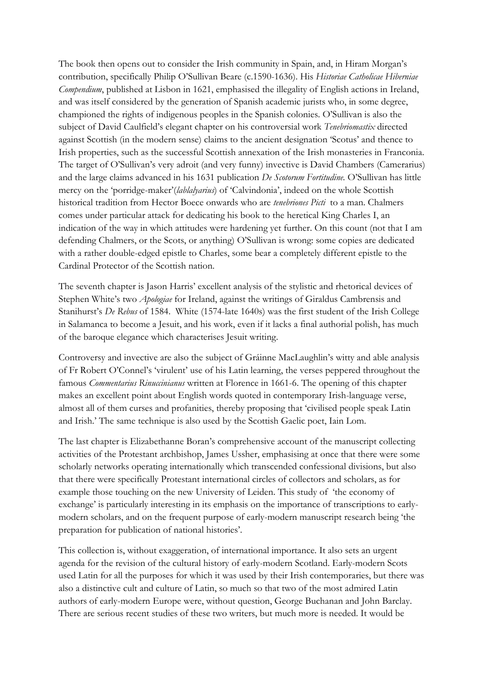The book then opens out to consider the Irish community in Spain, and, in Hiram Morgan's contribution, specifically Philip O'Sullivan Beare (c.1590-1636). His Historiae Catholicae Hiberniae Compendium, published at Lisbon in 1621, emphasised the illegality of English actions in Ireland, and was itself considered by the generation of Spanish academic jurists who, in some degree, championed the rights of indigenous peoples in the Spanish colonies. O'Sullivan is also the subject of David Caulfield's elegant chapter on his controversial work Tenebriomastix directed against Scottish (in the modern sense) claims to the ancient designation 'Scotus' and thence to Irish properties, such as the successful Scottish annexation of the Irish monasteries in Franconia. The target of O'Sullivan's very adroit (and very funny) invective is David Chambers (Camerarius) and the large claims advanced in his 1631 publication De Scotorum Fortitudine. O'Sullivan has little mercy on the 'porridge-maker'(*lablalyarius*) of 'Calvindonia', indeed on the whole Scottish historical tradition from Hector Boece onwards who are tenebriones Picti to a man. Chalmers comes under particular attack for dedicating his book to the heretical King Charles I, an indication of the way in which attitudes were hardening yet further. On this count (not that I am defending Chalmers, or the Scots, or anything) O'Sullivan is wrong: some copies are dedicated with a rather double-edged epistle to Charles, some bear a completely different epistle to the Cardinal Protector of the Scottish nation.

The seventh chapter is Jason Harris' excellent analysis of the stylistic and rhetorical devices of Stephen White's two Apologiae for Ireland, against the writings of Giraldus Cambrensis and Stanihurst's De Rebus of 1584. White (1574-late 1640s) was the first student of the Irish College in Salamanca to become a Jesuit, and his work, even if it lacks a final authorial polish, has much of the baroque elegance which characterises Jesuit writing.

Controversy and invective are also the subject of Gráinne MacLaughlin's witty and able analysis of Fr Robert O'Connel's 'virulent' use of his Latin learning, the verses peppered throughout the famous *Commentarius Rinuccinianus* written at Florence in 1661-6. The opening of this chapter makes an excellent point about English words quoted in contemporary Irish-language verse, almost all of them curses and profanities, thereby proposing that 'civilised people speak Latin and Irish.' The same technique is also used by the Scottish Gaelic poet, Iain Lom.

The last chapter is Elizabethanne Boran's comprehensive account of the manuscript collecting activities of the Protestant archbishop, James Ussher, emphasising at once that there were some scholarly networks operating internationally which transcended confessional divisions, but also that there were specifically Protestant international circles of collectors and scholars, as for example those touching on the new University of Leiden. This study of 'the economy of exchange' is particularly interesting in its emphasis on the importance of transcriptions to earlymodern scholars, and on the frequent purpose of early-modern manuscript research being 'the preparation for publication of national histories'.

This collection is, without exaggeration, of international importance. It also sets an urgent agenda for the revision of the cultural history of early-modern Scotland. Early-modern Scots used Latin for all the purposes for which it was used by their Irish contemporaries, but there was also a distinctive cult and culture of Latin, so much so that two of the most admired Latin authors of early-modern Europe were, without question, George Buchanan and John Barclay. There are serious recent studies of these two writers, but much more is needed. It would be